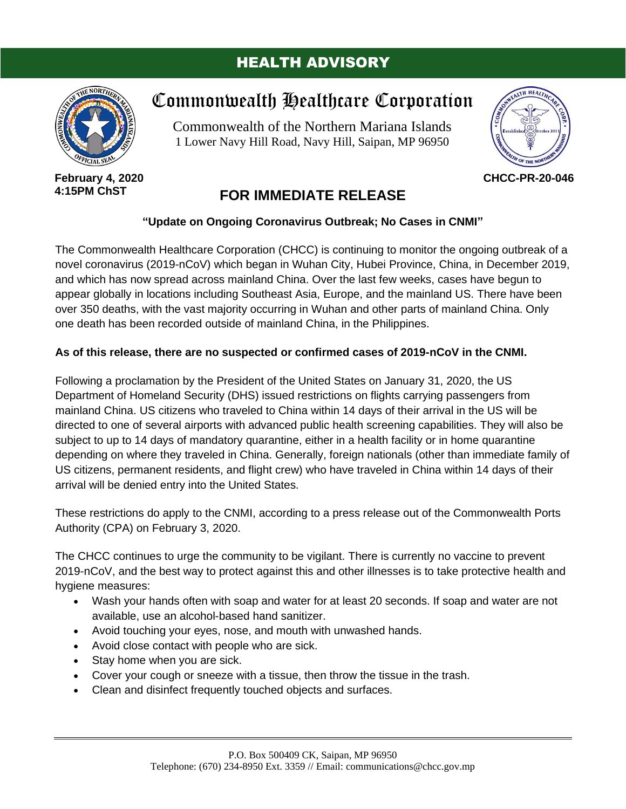### HEALTH ADVISORY



**February 4, 2020 4:15PM ChST**

# Commonwealth Healthcare Corporation

Commonwealth of the Northern Mariana Islands 1 Lower Navy Hill Road, Navy Hill, Saipan, MP 96950



**CHCC-PR-20-046**

## **FOR IMMEDIATE RELEASE**

### **"Update on Ongoing Coronavirus Outbreak; No Cases in CNMI"**

The Commonwealth Healthcare Corporation (CHCC) is continuing to monitor the ongoing outbreak of a novel coronavirus (2019-nCoV) which began in Wuhan City, Hubei Province, China, in December 2019, and which has now spread across mainland China. Over the last few weeks, cases have begun to appear globally in locations including Southeast Asia, Europe, and the mainland US. There have been over 350 deaths, with the vast majority occurring in Wuhan and other parts of mainland China. Only one death has been recorded outside of mainland China, in the Philippines.

### **As of this release, there are no suspected or confirmed cases of 2019-nCoV in the CNMI.**

Following a proclamation by the President of the United States on January 31, 2020, the US Department of Homeland Security (DHS) issued restrictions on flights carrying passengers from mainland China. US citizens who traveled to China within 14 days of their arrival in the US will be directed to one of several airports with advanced public health screening capabilities. They will also be subject to up to 14 days of mandatory quarantine, either in a health facility or in home quarantine depending on where they traveled in China. Generally, foreign nationals (other than immediate family of US citizens, permanent residents, and flight crew) who have traveled in China within 14 days of their arrival will be denied entry into the United States.

These restrictions do apply to the CNMI, according to a press release out of the Commonwealth Ports Authority (CPA) on February 3, 2020.

The CHCC continues to urge the community to be vigilant. There is currently no vaccine to prevent 2019-nCoV, and the best way to protect against this and other illnesses is to take protective health and hygiene measures:

- Wash your hands often with soap and water for at least 20 seconds. If soap and water are not available, use an alcohol-based hand sanitizer.
- Avoid touching your eyes, nose, and mouth with unwashed hands.
- Avoid close contact with people who are sick.
- Stay home when you are sick.
- Cover your cough or sneeze with a tissue, then throw the tissue in the trash.
- Clean and disinfect frequently touched objects and surfaces.